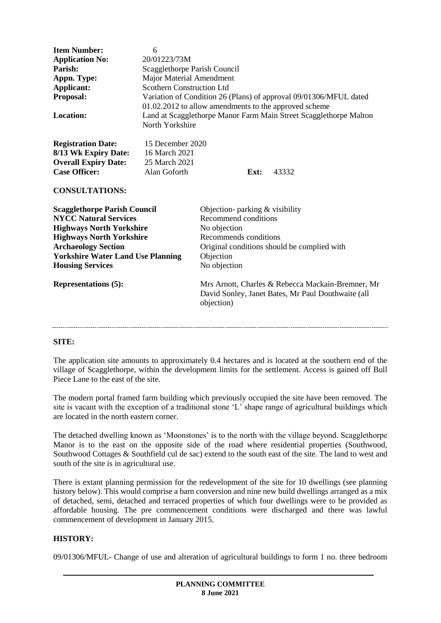| <b>Item Number:</b><br><b>Application No:</b><br>Parish:<br>Appn. Type:<br>Applicant:<br>Proposal:<br><b>Location:</b>                                                                                                                                                        | 6<br>20/01223/73M<br>Scagglethorpe Parish Council<br><b>Major Material Amendment</b><br><b>Scothern Construction Ltd</b><br>Variation of Condition 26 (Plans) of approval 09/01306/MFUL dated<br>01.02.2012 to allow amendments to the approved scheme<br>Land at Scagglethorpe Manor Farm Main Street Scagglethorpe Malton<br>North Yorkshire |                                                                                                                                             |                                                                                                                                                        |
|-------------------------------------------------------------------------------------------------------------------------------------------------------------------------------------------------------------------------------------------------------------------------------|------------------------------------------------------------------------------------------------------------------------------------------------------------------------------------------------------------------------------------------------------------------------------------------------------------------------------------------------|---------------------------------------------------------------------------------------------------------------------------------------------|--------------------------------------------------------------------------------------------------------------------------------------------------------|
| <b>Registration Date:</b><br>8/13 Wk Expiry Date:<br><b>Overall Expiry Date:</b><br><b>Case Officer:</b><br><b>CONSULTATIONS:</b>                                                                                                                                             | 15 December 2020<br>16 March 2021<br>25 March 2021<br>Alan Goforth                                                                                                                                                                                                                                                                             | Ext:                                                                                                                                        | 43332                                                                                                                                                  |
| <b>Scagglethorpe Parish Council</b><br><b>NYCC Natural Services</b><br><b>Highways North Yorkshire</b><br><b>Highways North Yorkshire</b><br><b>Archaeology Section</b><br><b>Yorkshire Water Land Use Planning</b><br><b>Housing Services</b><br><b>Representations (5):</b> |                                                                                                                                                                                                                                                                                                                                                | Objection- parking & visibility<br>Recommend conditions<br>No objection<br>Recommends conditions<br>Objection<br>No objection<br>objection) | Original conditions should be complied with<br>Mrs Arnott, Charles & Rebecca Mackain-Bremner, Mr<br>David Sonley, Janet Bates, Mr Paul Douthwaite (all |

## **SITE:**

The application site amounts to approximately 0.4 hectares and is located at the southern end of the village of Scagglethorpe, within the development limits for the settlement. Access is gained off Bull Piece Lane to the east of the site.

The modern portal framed farm building which previously occupied the site have been removed. The site is vacant with the exception of a traditional stone 'L' shape range of agricultural buildings which are located in the north eastern corner.

The detached dwelling known as 'Moonstones' is to the north with the village beyond. Scagglethorpe Manor is to the east on the opposite side of the road where residential properties (Southwood, Southwood Cottages & Southfield cul de sac) extend to the south east of the site. The land to west and south of the site is in agricultural use.

There is extant planning permission for the redevelopment of the site for 10 dwellings (see planning history below). This would comprise a barn conversion and nine new build dwellings arranged as a mix of detached, semi, detached and terraced properties of which four dwellings were to be provided as affordable housing. The pre commencement conditions were discharged and there was lawful commencement of development in January 2015.

### **HISTORY:**

09/01306/MFUL- Change of use and alteration of agricultural buildings to form 1 no. three bedroom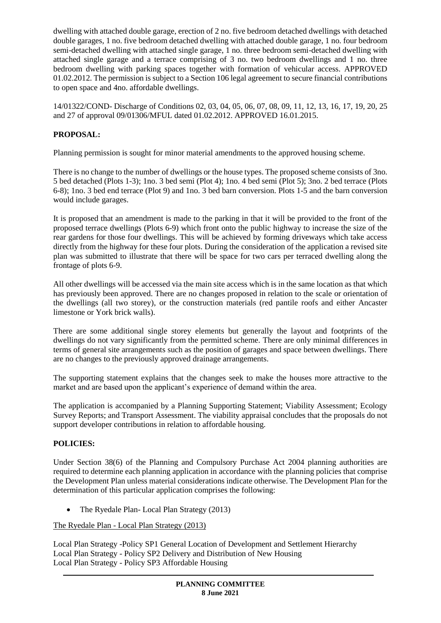dwelling with attached double garage, erection of 2 no. five bedroom detached dwellings with detached double garages, 1 no. five bedroom detached dwelling with attached double garage, 1 no. four bedroom semi-detached dwelling with attached single garage, 1 no. three bedroom semi-detached dwelling with attached single garage and a terrace comprising of 3 no. two bedroom dwellings and 1 no. three bedroom dwelling with parking spaces together with formation of vehicular access. APPROVED 01.02.2012. The permission is subject to a Section 106 legal agreement to secure financial contributions to open space and 4no. affordable dwellings.

14/01322/COND- Discharge of Conditions 02, 03, 04, 05, 06, 07, 08, 09, 11, 12, 13, 16, 17, 19, 20, 25 and 27 of approval 09/01306/MFUL dated 01.02.2012. APPROVED 16.01.2015.

# **PROPOSAL:**

Planning permission is sought for minor material amendments to the approved housing scheme.

There is no change to the number of dwellings or the house types. The proposed scheme consists of 3no. 5 bed detached (Plots 1-3); 1no. 3 bed semi (Plot 4); 1no. 4 bed semi (Plot 5); 3no. 2 bed terrace (Plots 6-8); 1no. 3 bed end terrace (Plot 9) and 1no. 3 bed barn conversion. Plots 1-5 and the barn conversion would include garages.

It is proposed that an amendment is made to the parking in that it will be provided to the front of the proposed terrace dwellings (Plots 6-9) which front onto the public highway to increase the size of the rear gardens for those four dwellings. This will be achieved by forming driveways which take access directly from the highway for these four plots. During the consideration of the application a revised site plan was submitted to illustrate that there will be space for two cars per terraced dwelling along the frontage of plots 6-9.

All other dwellings will be accessed via the main site access which is in the same location as that which has previously been approved. There are no changes proposed in relation to the scale or orientation of the dwellings (all two storey), or the construction materials (red pantile roofs and either Ancaster limestone or York brick walls).

There are some additional single storey elements but generally the layout and footprints of the dwellings do not vary significantly from the permitted scheme. There are only minimal differences in terms of general site arrangements such as the position of garages and space between dwellings. There are no changes to the previously approved drainage arrangements.

The supporting statement explains that the changes seek to make the houses more attractive to the market and are based upon the applicant's experience of demand within the area.

The application is accompanied by a Planning Supporting Statement; Viability Assessment; Ecology Survey Reports; and Transport Assessment. The viability appraisal concludes that the proposals do not support developer contributions in relation to affordable housing.

## **POLICIES:**

Under Section 38(6) of the Planning and Compulsory Purchase Act 2004 planning authorities are required to determine each planning application in accordance with the planning policies that comprise the Development Plan unless material considerations indicate otherwise. The Development Plan for the determination of this particular application comprises the following:

• The Ryedale Plan- Local Plan Strategy (2013)

The Ryedale Plan - Local Plan Strategy (2013)

Local Plan Strategy -Policy SP1 General Location of Development and Settlement Hierarchy Local Plan Strategy - Policy SP2 Delivery and Distribution of New Housing Local Plan Strategy - Policy SP3 Affordable Housing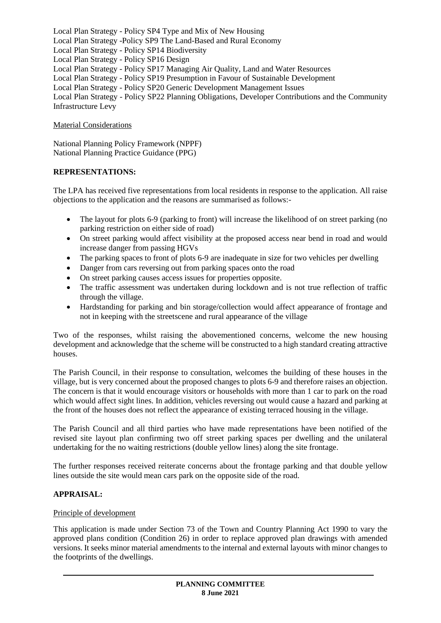Local Plan Strategy - Policy SP4 Type and Mix of New Housing Local Plan Strategy -Policy SP9 The Land-Based and Rural Economy Local Plan Strategy - Policy SP14 Biodiversity Local Plan Strategy - Policy SP16 Design Local Plan Strategy - Policy SP17 Managing Air Quality, Land and Water Resources Local Plan Strategy - Policy SP19 Presumption in Favour of Sustainable Development Local Plan Strategy - Policy SP20 Generic Development Management Issues Local Plan Strategy - Policy SP22 Planning Obligations, Developer Contributions and the Community Infrastructure Levy

### Material Considerations

National Planning Policy Framework (NPPF) National Planning Practice Guidance (PPG)

## **REPRESENTATIONS:**

The LPA has received five representations from local residents in response to the application. All raise objections to the application and the reasons are summarised as follows:-

- The layout for plots 6-9 (parking to front) will increase the likelihood of on street parking (no parking restriction on either side of road)
- On street parking would affect visibility at the proposed access near bend in road and would increase danger from passing HGVs
- The parking spaces to front of plots 6-9 are inadequate in size for two vehicles per dwelling
- Danger from cars reversing out from parking spaces onto the road
- On street parking causes access issues for properties opposite.
- The traffic assessment was undertaken during lockdown and is not true reflection of traffic through the village.
- Hardstanding for parking and bin storage/collection would affect appearance of frontage and not in keeping with the streetscene and rural appearance of the village

Two of the responses, whilst raising the abovementioned concerns, welcome the new housing development and acknowledge that the scheme will be constructed to a high standard creating attractive houses.

The Parish Council, in their response to consultation, welcomes the building of these houses in the village, but is very concerned about the proposed changes to plots 6-9 and therefore raises an objection. The concern is that it would encourage visitors or households with more than 1 car to park on the road which would affect sight lines. In addition, vehicles reversing out would cause a hazard and parking at the front of the houses does not reflect the appearance of existing terraced housing in the village.

The Parish Council and all third parties who have made representations have been notified of the revised site layout plan confirming two off street parking spaces per dwelling and the unilateral undertaking for the no waiting restrictions (double yellow lines) along the site frontage.

The further responses received reiterate concerns about the frontage parking and that double yellow lines outside the site would mean cars park on the opposite side of the road.

## **APPRAISAL:**

#### Principle of development

This application is made under Section 73 of the Town and Country Planning Act 1990 to vary the approved plans condition (Condition 26) in order to replace approved plan drawings with amended versions. It seeks minor material amendments to the internal and external layouts with minor changes to the footprints of the dwellings.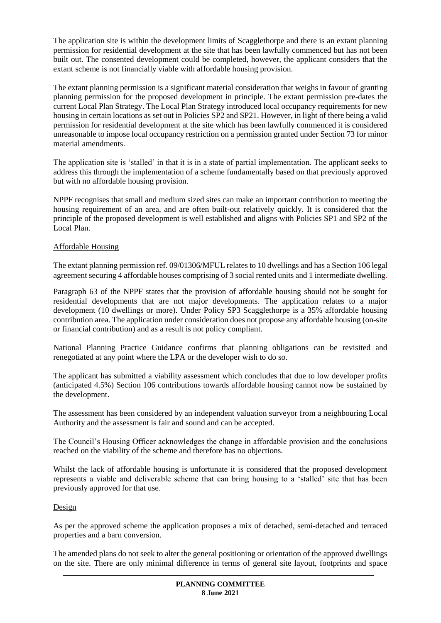The application site is within the development limits of Scagglethorpe and there is an extant planning permission for residential development at the site that has been lawfully commenced but has not been built out. The consented development could be completed, however, the applicant considers that the extant scheme is not financially viable with affordable housing provision.

The extant planning permission is a significant material consideration that weighs in favour of granting planning permission for the proposed development in principle. The extant permission pre-dates the current Local Plan Strategy. The Local Plan Strategy introduced local occupancy requirements for new housing in certain locations as set out in Policies SP2 and SP21. However, in light of there being a valid permission for residential development at the site which has been lawfully commenced it is considered unreasonable to impose local occupancy restriction on a permission granted under Section 73 for minor material amendments.

The application site is 'stalled' in that it is in a state of partial implementation. The applicant seeks to address this through the implementation of a scheme fundamentally based on that previously approved but with no affordable housing provision.

NPPF recognises that small and medium sized sites can make an important contribution to meeting the housing requirement of an area, and are often built-out relatively quickly. It is considered that the principle of the proposed development is well established and aligns with Policies SP1 and SP2 of the Local Plan.

## Affordable Housing

The extant planning permission ref. 09/01306/MFUL relates to 10 dwellings and has a Section 106 legal agreement securing 4 affordable houses comprising of 3 social rented units and 1 intermediate dwelling.

Paragraph 63 of the NPPF states that the provision of affordable housing should not be sought for residential developments that are not major developments. The application relates to a major development (10 dwellings or more). Under Policy SP3 Scagglethorpe is a 35% affordable housing contribution area. The application under consideration does not propose any affordable housing (on-site or financial contribution) and as a result is not policy compliant.

National Planning Practice Guidance confirms that planning obligations can be revisited and renegotiated at any point where the LPA or the developer wish to do so.

The applicant has submitted a viability assessment which concludes that due to low developer profits (anticipated 4.5%) Section 106 contributions towards affordable housing cannot now be sustained by the development.

The assessment has been considered by an independent valuation surveyor from a neighbouring Local Authority and the assessment is fair and sound and can be accepted.

The Council's Housing Officer acknowledges the change in affordable provision and the conclusions reached on the viability of the scheme and therefore has no objections.

Whilst the lack of affordable housing is unfortunate it is considered that the proposed development represents a viable and deliverable scheme that can bring housing to a 'stalled' site that has been previously approved for that use.

#### Design

As per the approved scheme the application proposes a mix of detached, semi-detached and terraced properties and a barn conversion.

The amended plans do not seek to alter the general positioning or orientation of the approved dwellings on the site. There are only minimal difference in terms of general site layout, footprints and space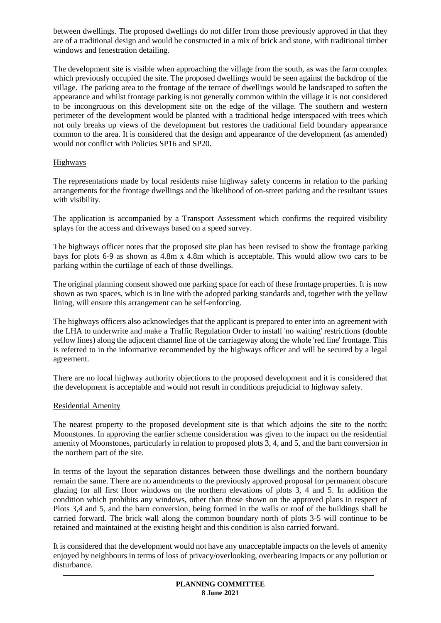between dwellings. The proposed dwellings do not differ from those previously approved in that they are of a traditional design and would be constructed in a mix of brick and stone, with traditional timber windows and fenestration detailing.

The development site is visible when approaching the village from the south, as was the farm complex which previously occupied the site. The proposed dwellings would be seen against the backdrop of the village. The parking area to the frontage of the terrace of dwellings would be landscaped to soften the appearance and whilst frontage parking is not generally common within the village it is not considered to be incongruous on this development site on the edge of the village. The southern and western perimeter of the development would be planted with a traditional hedge interspaced with trees which not only breaks up views of the development but restores the traditional field boundary appearance common to the area. It is considered that the design and appearance of the development (as amended) would not conflict with Policies SP16 and SP20.

## Highways

The representations made by local residents raise highway safety concerns in relation to the parking arrangements for the frontage dwellings and the likelihood of on-street parking and the resultant issues with visibility.

The application is accompanied by a Transport Assessment which confirms the required visibility splays for the access and driveways based on a speed survey.

The highways officer notes that the proposed site plan has been revised to show the frontage parking bays for plots 6-9 as shown as 4.8m x 4.8m which is acceptable. This would allow two cars to be parking within the curtilage of each of those dwellings.

The original planning consent showed one parking space for each of these frontage properties. It is now shown as two spaces, which is in line with the adopted parking standards and, together with the yellow lining, will ensure this arrangement can be self-enforcing.

The highways officers also acknowledges that the applicant is prepared to enter into an agreement with the LHA to underwrite and make a Traffic Regulation Order to install 'no waiting' restrictions (double yellow lines) along the adjacent channel line of the carriageway along the whole 'red line' frontage. This is referred to in the informative recommended by the highways officer and will be secured by a legal agreement.

There are no local highway authority objections to the proposed development and it is considered that the development is acceptable and would not result in conditions prejudicial to highway safety.

## Residential Amenity

The nearest property to the proposed development site is that which adjoins the site to the north; Moonstones. In approving the earlier scheme consideration was given to the impact on the residential amenity of Moonstones, particularly in relation to proposed plots 3, 4, and 5, and the barn conversion in the northern part of the site.

In terms of the layout the separation distances between those dwellings and the northern boundary remain the same. There are no amendments to the previously approved proposal for permanent obscure glazing for all first floor windows on the northern elevations of plots 3, 4 and 5. In addition the condition which prohibits any windows, other than those shown on the approved plans in respect of Plots 3,4 and 5, and the barn conversion, being formed in the walls or roof of the buildings shall be carried forward. The brick wall along the common boundary north of plots 3-5 will continue to be retained and maintained at the existing height and this condition is also carried forward.

It is considered that the development would not have any unacceptable impacts on the levels of amenity enjoyed by neighbours in terms of loss of privacy/overlooking, overbearing impacts or any pollution or disturbance.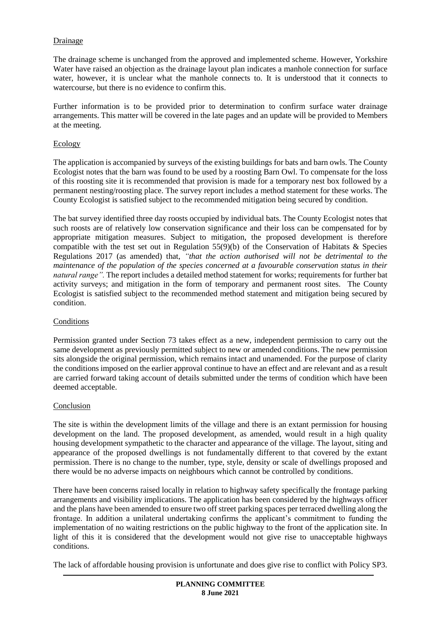## Drainage

The drainage scheme is unchanged from the approved and implemented scheme. However, Yorkshire Water have raised an objection as the drainage layout plan indicates a manhole connection for surface water, however, it is unclear what the manhole connects to. It is understood that it connects to watercourse, but there is no evidence to confirm this.

Further information is to be provided prior to determination to confirm surface water drainage arrangements. This matter will be covered in the late pages and an update will be provided to Members at the meeting.

### Ecology

The application is accompanied by surveys of the existing buildings for bats and barn owls. The County Ecologist notes that the barn was found to be used by a roosting Barn Owl. To compensate for the loss of this roosting site it is recommended that provision is made for a temporary nest box followed by a permanent nesting/roosting place. The survey report includes a method statement for these works. The County Ecologist is satisfied subject to the recommended mitigation being secured by condition.

The bat survey identified three day roosts occupied by individual bats. The County Ecologist notes that such roosts are of relatively low conservation significance and their loss can be compensated for by appropriate mitigation measures. Subject to mitigation, the proposed development is therefore compatible with the test set out in Regulation  $55(9)(b)$  of the Conservation of Habitats & Species Regulations 2017 (as amended) that, *"that the action authorised will not be detrimental to the maintenance of the population of the species concerned at a favourable conservation status in their natural range".* The report includes a detailed method statement for works; requirements for further bat activity surveys; and mitigation in the form of temporary and permanent roost sites. The County Ecologist is satisfied subject to the recommended method statement and mitigation being secured by condition.

#### Conditions

Permission granted under Section 73 takes effect as a new, independent permission to carry out the same development as previously permitted subject to new or amended conditions. The new permission sits alongside the original permission, which remains intact and unamended. For the purpose of clarity the conditions imposed on the earlier approval continue to have an effect and are relevant and as a result are carried forward taking account of details submitted under the terms of condition which have been deemed acceptable.

## Conclusion

The site is within the development limits of the village and there is an extant permission for housing development on the land. The proposed development, as amended, would result in a high quality housing development sympathetic to the character and appearance of the village. The layout, siting and appearance of the proposed dwellings is not fundamentally different to that covered by the extant permission. There is no change to the number, type, style, density or scale of dwellings proposed and there would be no adverse impacts on neighbours which cannot be controlled by conditions.

There have been concerns raised locally in relation to highway safety specifically the frontage parking arrangements and visibility implications. The application has been considered by the highways officer and the plans have been amended to ensure two off street parking spaces per terraced dwelling along the frontage. In addition a unilateral undertaking confirms the applicant's commitment to funding the implementation of no waiting restrictions on the public highway to the front of the application site. In light of this it is considered that the development would not give rise to unacceptable highways conditions.

The lack of affordable housing provision is unfortunate and does give rise to conflict with Policy SP3.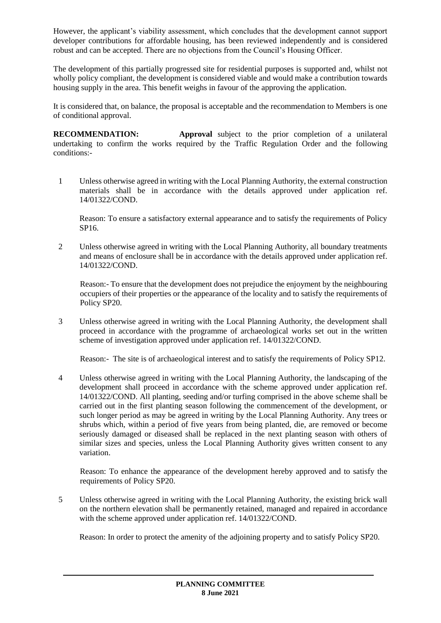However, the applicant's viability assessment, which concludes that the development cannot support developer contributions for affordable housing, has been reviewed independently and is considered robust and can be accepted. There are no objections from the Council's Housing Officer.

The development of this partially progressed site for residential purposes is supported and, whilst not wholly policy compliant, the development is considered viable and would make a contribution towards housing supply in the area. This benefit weighs in favour of the approving the application.

It is considered that, on balance, the proposal is acceptable and the recommendation to Members is one of conditional approval.

**RECOMMENDATION: Approval** subject to the prior completion of a unilateral undertaking to confirm the works required by the Traffic Regulation Order and the following conditions:-

1 Unless otherwise agreed in writing with the Local Planning Authority, the external construction materials shall be in accordance with the details approved under application ref. 14/01322/COND.

Reason: To ensure a satisfactory external appearance and to satisfy the requirements of Policy SP16.

2 Unless otherwise agreed in writing with the Local Planning Authority, all boundary treatments and means of enclosure shall be in accordance with the details approved under application ref. 14/01322/COND.

Reason:- To ensure that the development does not prejudice the enjoyment by the neighbouring occupiers of their properties or the appearance of the locality and to satisfy the requirements of Policy SP20.

3 Unless otherwise agreed in writing with the Local Planning Authority, the development shall proceed in accordance with the programme of archaeological works set out in the written scheme of investigation approved under application ref. 14/01322/COND.

Reason:- The site is of archaeological interest and to satisfy the requirements of Policy SP12.

4 Unless otherwise agreed in writing with the Local Planning Authority, the landscaping of the development shall proceed in accordance with the scheme approved under application ref. 14/01322/COND. All planting, seeding and/or turfing comprised in the above scheme shall be carried out in the first planting season following the commencement of the development, or such longer period as may be agreed in writing by the Local Planning Authority. Any trees or shrubs which, within a period of five years from being planted, die, are removed or become seriously damaged or diseased shall be replaced in the next planting season with others of similar sizes and species, unless the Local Planning Authority gives written consent to any variation.

Reason: To enhance the appearance of the development hereby approved and to satisfy the requirements of Policy SP20.

5 Unless otherwise agreed in writing with the Local Planning Authority, the existing brick wall on the northern elevation shall be permanently retained, managed and repaired in accordance with the scheme approved under application ref. 14/01322/COND.

Reason: In order to protect the amenity of the adjoining property and to satisfy Policy SP20.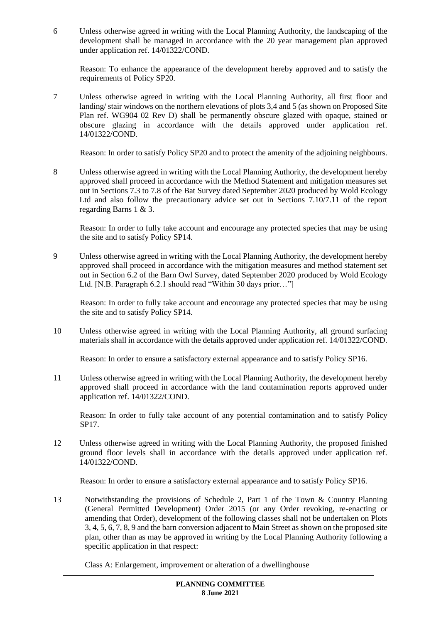6 Unless otherwise agreed in writing with the Local Planning Authority, the landscaping of the development shall be managed in accordance with the 20 year management plan approved under application ref. 14/01322/COND.

Reason: To enhance the appearance of the development hereby approved and to satisfy the requirements of Policy SP20.

7 Unless otherwise agreed in writing with the Local Planning Authority, all first floor and landing/ stair windows on the northern elevations of plots 3,4 and 5 (as shown on Proposed Site Plan ref. WG904 02 Rev D) shall be permanently obscure glazed with opaque, stained or obscure glazing in accordance with the details approved under application ref. 14/01322/COND.

Reason: In order to satisfy Policy SP20 and to protect the amenity of the adjoining neighbours.

8 Unless otherwise agreed in writing with the Local Planning Authority, the development hereby approved shall proceed in accordance with the Method Statement and mitigation measures set out in Sections 7.3 to 7.8 of the Bat Survey dated September 2020 produced by Wold Ecology Ltd and also follow the precautionary advice set out in Sections 7.10/7.11 of the report regarding Barns 1 & 3.

Reason: In order to fully take account and encourage any protected species that may be using the site and to satisfy Policy SP14.

9 Unless otherwise agreed in writing with the Local Planning Authority, the development hereby approved shall proceed in accordance with the mitigation measures and method statement set out in Section 6.2 of the Barn Owl Survey, dated September 2020 produced by Wold Ecology Ltd. [N.B. Paragraph 6.2.1 should read "Within 30 days prior..."]

Reason: In order to fully take account and encourage any protected species that may be using the site and to satisfy Policy SP14.

10 Unless otherwise agreed in writing with the Local Planning Authority, all ground surfacing materials shall in accordance with the details approved under application ref. 14/01322/COND.

Reason: In order to ensure a satisfactory external appearance and to satisfy Policy SP16.

11 Unless otherwise agreed in writing with the Local Planning Authority, the development hereby approved shall proceed in accordance with the land contamination reports approved under application ref. 14/01322/COND.

Reason: In order to fully take account of any potential contamination and to satisfy Policy SP17.

12 Unless otherwise agreed in writing with the Local Planning Authority, the proposed finished ground floor levels shall in accordance with the details approved under application ref. 14/01322/COND.

Reason: In order to ensure a satisfactory external appearance and to satisfy Policy SP16.

13 Notwithstanding the provisions of Schedule 2, Part 1 of the Town & Country Planning (General Permitted Development) Order 2015 (or any Order revoking, re-enacting or amending that Order), development of the following classes shall not be undertaken on Plots 3, 4, 5, 6, 7, 8, 9 and the barn conversion adjacent to Main Street as shown on the proposed site plan, other than as may be approved in writing by the Local Planning Authority following a specific application in that respect:

Class A: Enlargement, improvement or alteration of a dwellinghouse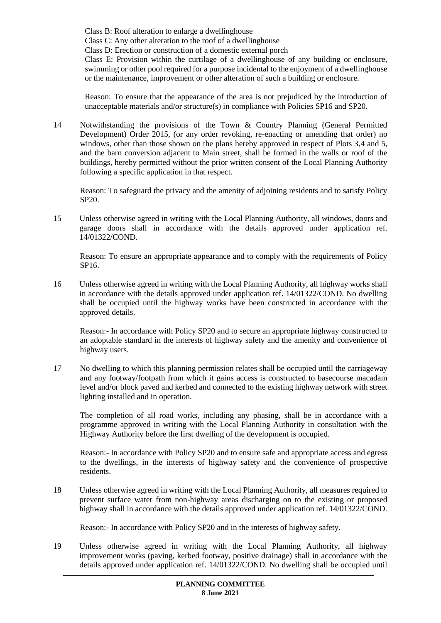Class B: Roof alteration to enlarge a dwellinghouse

Class C: Any other alteration to the roof of a dwellinghouse

Class D: Erection or construction of a domestic external porch

Class E: Provision within the curtilage of a dwellinghouse of any building or enclosure, swimming or other pool required for a purpose incidental to the enjoyment of a dwellinghouse or the maintenance, improvement or other alteration of such a building or enclosure.

Reason: To ensure that the appearance of the area is not prejudiced by the introduction of unacceptable materials and/or structure(s) in compliance with Policies SP16 and SP20.

14 Notwithstanding the provisions of the Town & Country Planning (General Permitted Development) Order 2015, (or any order revoking, re-enacting or amending that order) no windows, other than those shown on the plans hereby approved in respect of Plots 3,4 and 5, and the barn conversion adjacent to Main street, shall be formed in the walls or roof of the buildings, hereby permitted without the prior written consent of the Local Planning Authority following a specific application in that respect.

Reason: To safeguard the privacy and the amenity of adjoining residents and to satisfy Policy SP20.

15 Unless otherwise agreed in writing with the Local Planning Authority, all windows, doors and garage doors shall in accordance with the details approved under application ref. 14/01322/COND.

Reason: To ensure an appropriate appearance and to comply with the requirements of Policy SP16.

16 Unless otherwise agreed in writing with the Local Planning Authority, all highway works shall in accordance with the details approved under application ref. 14/01322/COND. No dwelling shall be occupied until the highway works have been constructed in accordance with the approved details.

Reason:- In accordance with Policy SP20 and to secure an appropriate highway constructed to an adoptable standard in the interests of highway safety and the amenity and convenience of highway users.

17 No dwelling to which this planning permission relates shall be occupied until the carriageway and any footway/footpath from which it gains access is constructed to basecourse macadam level and/or block paved and kerbed and connected to the existing highway network with street lighting installed and in operation.

The completion of all road works, including any phasing, shall be in accordance with a programme approved in writing with the Local Planning Authority in consultation with the Highway Authority before the first dwelling of the development is occupied.

Reason:- In accordance with Policy SP20 and to ensure safe and appropriate access and egress to the dwellings, in the interests of highway safety and the convenience of prospective residents.

18 Unless otherwise agreed in writing with the Local Planning Authority, all measures required to prevent surface water from non-highway areas discharging on to the existing or proposed highway shall in accordance with the details approved under application ref. 14/01322/COND.

Reason:- In accordance with Policy SP20 and in the interests of highway safety.

19 Unless otherwise agreed in writing with the Local Planning Authority, all highway improvement works (paving, kerbed footway, positive drainage) shall in accordance with the details approved under application ref. 14/01322/COND. No dwelling shall be occupied until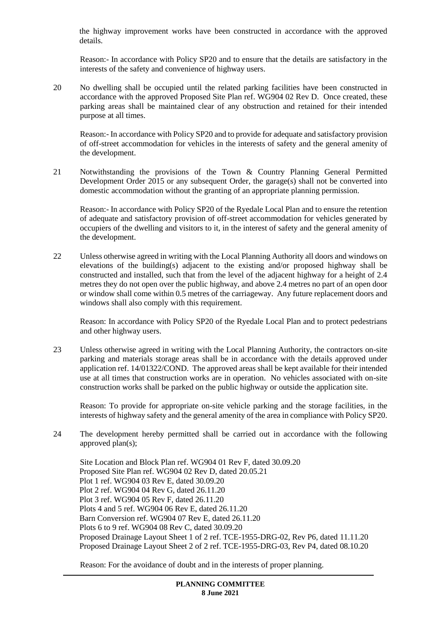the highway improvement works have been constructed in accordance with the approved details.

Reason:- In accordance with Policy SP20 and to ensure that the details are satisfactory in the interests of the safety and convenience of highway users.

20 No dwelling shall be occupied until the related parking facilities have been constructed in accordance with the approved Proposed Site Plan ref. WG904 02 Rev D. Once created, these parking areas shall be maintained clear of any obstruction and retained for their intended purpose at all times.

Reason:- In accordance with Policy SP20 and to provide for adequate and satisfactory provision of off-street accommodation for vehicles in the interests of safety and the general amenity of the development.

21 Notwithstanding the provisions of the Town & Country Planning General Permitted Development Order 2015 or any subsequent Order, the garage(s) shall not be converted into domestic accommodation without the granting of an appropriate planning permission.

Reason:- In accordance with Policy SP20 of the Ryedale Local Plan and to ensure the retention of adequate and satisfactory provision of off-street accommodation for vehicles generated by occupiers of the dwelling and visitors to it, in the interest of safety and the general amenity of the development.

22 Unless otherwise agreed in writing with the Local Planning Authority all doors and windows on elevations of the building(s) adjacent to the existing and/or proposed highway shall be constructed and installed, such that from the level of the adjacent highway for a height of 2.4 metres they do not open over the public highway, and above 2.4 metres no part of an open door or window shall come within 0.5 metres of the carriageway. Any future replacement doors and windows shall also comply with this requirement.

Reason: In accordance with Policy SP20 of the Ryedale Local Plan and to protect pedestrians and other highway users.

23 Unless otherwise agreed in writing with the Local Planning Authority, the contractors on-site parking and materials storage areas shall be in accordance with the details approved under application ref. 14/01322/COND. The approved areas shall be kept available for their intended use at all times that construction works are in operation. No vehicles associated with on-site construction works shall be parked on the public highway or outside the application site.

Reason: To provide for appropriate on-site vehicle parking and the storage facilities, in the interests of highway safety and the general amenity of the area in compliance with Policy SP20.

24 The development hereby permitted shall be carried out in accordance with the following approved plan(s);

Site Location and Block Plan ref. WG904 01 Rev F, dated 30.09.20 Proposed Site Plan ref. WG904 02 Rev D, dated 20.05.21 Plot 1 ref. WG904 03 Rev E, dated 30.09.20 Plot 2 ref. WG904 04 Rev G, dated 26.11.20 Plot 3 ref. WG904 05 Rev F, dated 26.11.20 Plots 4 and 5 ref. WG904 06 Rev E, dated 26.11.20 Barn Conversion ref. WG904 07 Rev E, dated 26.11.20 Plots 6 to 9 ref. WG904 08 Rev C, dated 30.09.20 Proposed Drainage Layout Sheet 1 of 2 ref. TCE-1955-DRG-02, Rev P6, dated 11.11.20 Proposed Drainage Layout Sheet 2 of 2 ref. TCE-1955-DRG-03, Rev P4, dated 08.10.20

Reason: For the avoidance of doubt and in the interests of proper planning.